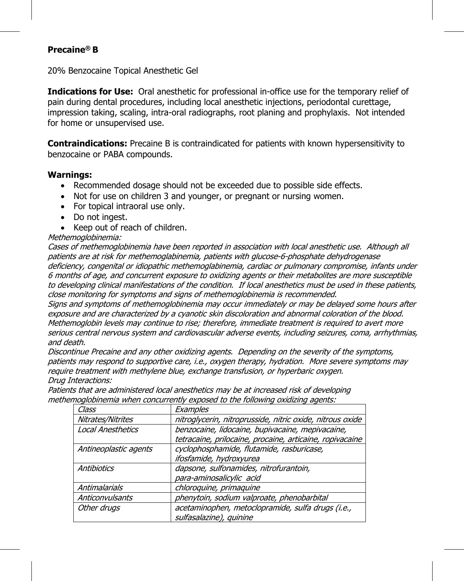## **Precaine® B**

20% Benzocaine Topical Anesthetic Gel

**Indications for Use:** Oral anesthetic for professional in-office use for the temporary relief of pain during dental procedures, including local anesthetic injections, periodontal curettage, impression taking, scaling, intra-oral radiographs, root planing and prophylaxis. Not intended for home or unsupervised use.

**Contraindications:** Precaine B is contraindicated for patients with known hypersensitivity to benzocaine or PABA compounds.

## **Warnings:**

- Recommended dosage should not be exceeded due to possible side effects.
- Not for use on children 3 and younger, or pregnant or nursing women.
- For topical intraoral use only.
- Do not ingest.
- Keep out of reach of children.

## Methemoglobinemia:

Cases of methemoglobinemia have been reported in association with local anesthetic use. Although all patients are at risk for methemoglabinemia, patients with glucose-6-phosphate dehydrogenase deficiency, congenital or idiopathic methemoglabinemia, cardiac or pulmonary compromise, infants under 6 months of age, and concurrent exposure to oxidizing agents or their metabolites are more susceptible to developing clinical manifestations of the condition. If local anesthetics must be used in these patients, close monitoring for symptoms and signs of methemoglobinemia is recommended.

Signs and symptoms of methemoglobinemia may occur immediately or may be delayed some hours after exposure and are characterized by a cyanotic skin discoloration and abnormal coloration of the blood. Methemoglobin levels may continue to rise; therefore, immediate treatment is required to avert more serious central nervous system and cardiovascular adverse events, including seizures, coma, arrhythmias, and death.

Discontinue Precaine and any other oxidizing agents. Depending on the severity of the symptoms, patients may respond to supportive care, i.e., oxygen therapy, hydration. More severe symptoms may require treatment with methylene blue, exchange transfusion, or hyperbaric oxygen. Drug Interactions:

| Class                    | Examples                                                  |
|--------------------------|-----------------------------------------------------------|
| Nitrates/Nitrites        | nitroglycerin, nitroprusside, nitric oxide, nitrous oxide |
| <b>Local Anesthetics</b> | benzocaine, lidocaine, bupivacaine, mepivacaine,          |
|                          | tetracaine, prilocaine, procaine, articaine, ropivacaine  |
| Antineoplastic agents    | cyclophosphamide, flutamide, rasburicase,                 |
|                          | ifosfamide, hydroxyurea                                   |
| Antibiotics              | dapsone, sulfonamides, nitrofurantoin,                    |
|                          | para-aminosalicylic acid                                  |
| Antimalarials            | chloroquine, primaquine                                   |
| Anticonvulsants          | phenytoin, sodium valproate, phenobarbital                |
| Other druas              | acetaminophen, metoclopramide, sulfa drugs (i.e.,         |
|                          | sulfasalazine), quinine                                   |

Patients that are administered local anesthetics may be at increased risk of developing methemoglobinemia when concurrently exposed to the following oxidizing agents: